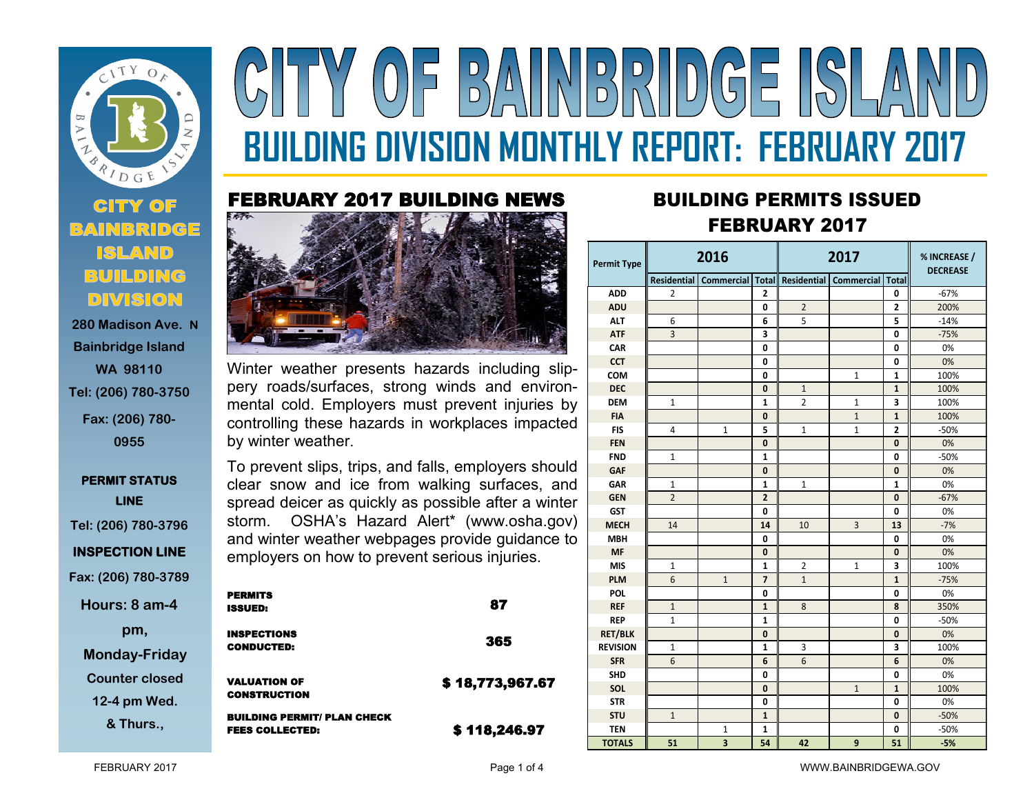

**Bainbridge Island WA 98110 Tel: (206) 780-3750 Fax: (206) 780- 0955**

## **PERMIT STATUS LINE Tel: (206) 780-3796 INSPECTION LINE**

**Fax: (206) 780-3789**

|  | Hours: 8 am-4 |
|--|---------------|
|  |               |

**pm,** 

**Monday-Friday Counter closed** 

**12-4 pm Wed.** 

**& Thurs.,** 

# $(0)$  = B) NINDRID(GE ISILA **BUILDING DIVISION MONTHLY REPORT: FEBRUARY 2017**

## FEBRUARY 2017 BUILDING NEWS



Winter weather presents hazards including slippery roads/surfaces, strong winds and environmental cold. Employers must prevent injuries by controlling these hazards in workplaces impacted by winter weather.

To prevent slips, trips, and falls, employers should clear snow and ice from walking surfaces, and spread deicer as quickly as possible after a winter storm. OSHA's Hazard Alert\* (www.osha.gov) and winter weather webpages provide guidance to employers on how to prevent serious injuries.

| <b>PERMITS</b><br><b>ISSUED:</b>                             | 87              |
|--------------------------------------------------------------|-----------------|
| <b>INSPECTIONS</b><br><b>CONDUCTED:</b>                      | 365             |
| <b>VALUATION OF</b><br><b>CONSTRUCTION</b>                   | \$18,773,967.67 |
| <b>BUILDING PERMIT/ PLAN CHECK</b><br><b>FEES COLLECTED:</b> | \$118,246.97    |

## **<sup>2017</sup>** BUILDING PERMITS ISSUED FEBRUARY 2017

| Permit Type     |                    | 2016                    |                | 2017               |                   |                | % INCREASE /<br><b>DECREASE</b> |
|-----------------|--------------------|-------------------------|----------------|--------------------|-------------------|----------------|---------------------------------|
|                 | <b>Residential</b> | <b>Commercial</b>       | <b>Total</b>   | <b>Residential</b> | <b>Commercial</b> | Total          |                                 |
| <b>ADD</b>      | $\overline{2}$     |                         | $\overline{2}$ |                    |                   | 0              | $-67%$                          |
| <b>ADU</b>      |                    |                         | 0              | $\overline{2}$     |                   | $\overline{2}$ | 200%                            |
| <b>ALT</b>      | 6                  |                         | 6              | 5                  |                   | 5              | $-14%$                          |
| <b>ATF</b>      | $\overline{3}$     |                         | 3              |                    |                   | 0              | $-75%$                          |
| CAR             |                    |                         | 0              |                    |                   | 0              | 0%                              |
| <b>CCT</b>      |                    |                         | 0              |                    |                   | 0              | 0%                              |
| COM             |                    |                         | 0              |                    | $\mathbf{1}$      | $\mathbf{1}$   | 100%                            |
| <b>DEC</b>      |                    |                         | 0              | $\mathbf{1}$       |                   | $\mathbf{1}$   | 100%                            |
| <b>DEM</b>      | $\mathbf{1}$       |                         | $\mathbf{1}$   | $\overline{2}$     | $\mathbf{1}$      | 3              | 100%                            |
| <b>FIA</b>      |                    |                         | 0              |                    | $\mathbf{1}$      | $\mathbf{1}$   | 100%                            |
| <b>FIS</b>      | 4                  | $\mathbf{1}$            | 5              | $\mathbf{1}$       | $\mathbf{1}$      | $\overline{2}$ | $-50%$                          |
| <b>FEN</b>      |                    |                         | $\mathbf{0}$   |                    |                   | $\mathbf{0}$   | 0%                              |
| <b>FND</b>      | $\mathbf{1}$       |                         | $\mathbf{1}$   |                    |                   | $\mathbf{0}$   | $-50%$                          |
| <b>GAF</b>      |                    |                         | $\mathbf{0}$   |                    |                   | $\mathbf{0}$   | 0%                              |
| <b>GAR</b>      | 1                  |                         | $\mathbf{1}$   | $\mathbf{1}$       |                   | $\mathbf{1}$   | 0%                              |
| <b>GEN</b>      | $\overline{2}$     |                         | $\overline{2}$ |                    |                   | 0              | $-67%$                          |
| <b>GST</b>      |                    |                         | 0              |                    |                   | 0              | 0%                              |
| <b>MECH</b>     | 14                 |                         | 14             | 10                 | 3                 | 13             | $-7%$                           |
| <b>MBH</b>      |                    |                         | 0              |                    |                   | 0              | 0%                              |
| <b>MF</b>       |                    |                         | 0              |                    |                   | 0              | 0%                              |
| <b>MIS</b>      | 1                  |                         | $\mathbf{1}$   | 2                  | $\mathbf{1}$      | 3              | 100%                            |
| <b>PLM</b>      | 6                  | $\mathbf{1}$            | $\overline{7}$ | $\mathbf{1}$       |                   | $\mathbf{1}$   | $-75%$                          |
| <b>POL</b>      |                    |                         | 0              |                    |                   | 0              | 0%                              |
| <b>REF</b>      | $\mathbf{1}$       |                         | $\mathbf{1}$   | 8                  |                   | 8              | 350%                            |
| <b>REP</b>      | $\mathbf{1}$       |                         | $\mathbf{1}$   |                    |                   | 0              | $-50%$                          |
| <b>RET/BLK</b>  |                    |                         | $\mathbf{0}$   |                    |                   | $\mathbf{0}$   | 0%                              |
| <b>REVISION</b> | $\mathbf 1$        |                         | $\mathbf{1}$   | 3                  |                   | 3              | 100%                            |
| <b>SFR</b>      | 6                  |                         | 6              | 6                  |                   | 6              | 0%                              |
| <b>SHD</b>      |                    |                         | 0              |                    |                   | 0              | 0%                              |
| SOL             |                    |                         | 0              |                    | $\mathbf{1}$      | $\mathbf{1}$   | 100%                            |
| <b>STR</b>      |                    |                         | 0              |                    |                   | 0              | 0%                              |
| <b>STU</b>      | $\mathbf{1}$       |                         | $\mathbf{1}$   |                    |                   | 0              | $-50%$                          |
| <b>TEN</b>      |                    | 1                       | 1              |                    |                   | 0              | $-50%$                          |
| <b>TOTALS</b>   | 51                 | $\overline{\mathbf{3}}$ | 54             | 42                 | 9                 | 51             | $-5%$                           |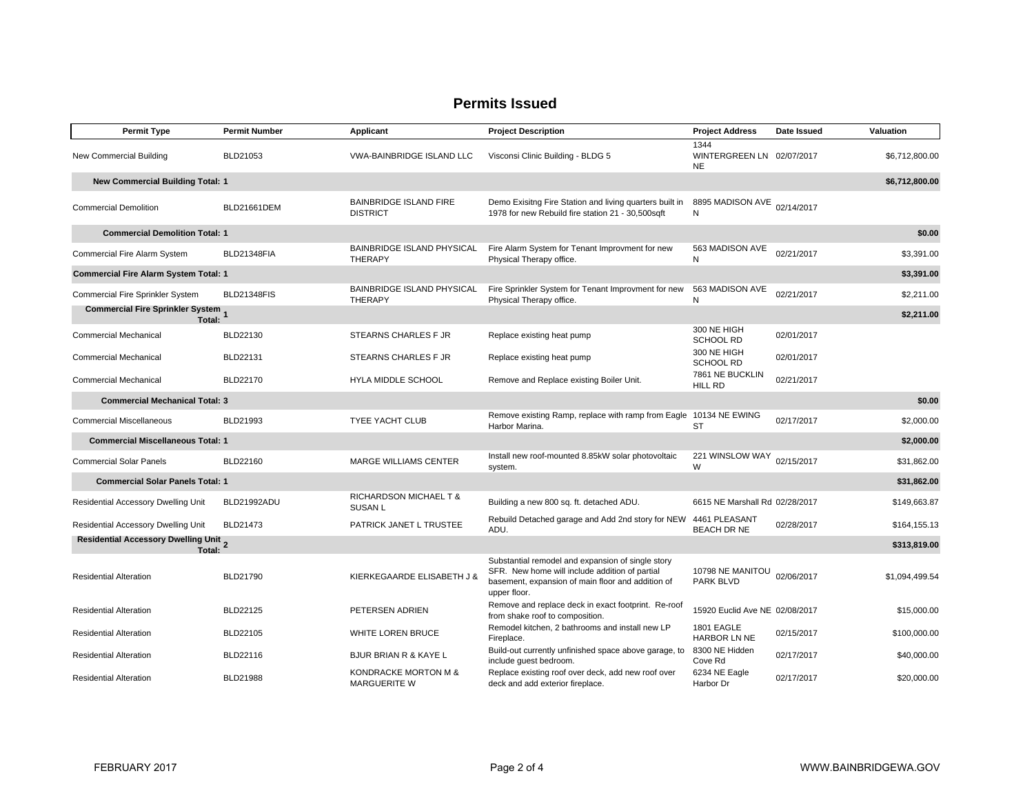### **Permits Issued**

| <b>Permit Type</b>                              | <b>Permit Number</b> | Applicant                                           | <b>Project Description</b>                                                                                                                                               | <b>Project Address</b>                         | Date Issued | Valuation      |
|-------------------------------------------------|----------------------|-----------------------------------------------------|--------------------------------------------------------------------------------------------------------------------------------------------------------------------------|------------------------------------------------|-------------|----------------|
| New Commercial Building                         | BLD21053             | <b>VWA-BAINBRIDGE ISLAND LLC</b>                    | Visconsi Clinic Building - BLDG 5                                                                                                                                        | 1344<br>WINTERGREEN LN 02/07/2017<br><b>NE</b> |             | \$6,712,800.00 |
| <b>New Commercial Building Total: 1</b>         |                      |                                                     |                                                                                                                                                                          |                                                |             | \$6,712,800.00 |
| <b>Commercial Demolition</b>                    | <b>BLD21661DEM</b>   | <b>BAINBRIDGE ISLAND FIRE</b><br><b>DISTRICT</b>    | Demo Exisitng Fire Station and living quarters built in<br>1978 for new Rebuild fire station 21 - 30,500sqft                                                             | 8895 MADISON AVE<br>N                          | 02/14/2017  |                |
| <b>Commercial Demolition Total: 1</b>           |                      |                                                     |                                                                                                                                                                          |                                                |             | \$0.00         |
| Commercial Fire Alarm System                    | BLD21348FIA          | <b>BAINBRIDGE ISLAND PHYSICAL</b><br><b>THERAPY</b> | Fire Alarm System for Tenant Improvment for new<br>Physical Therapy office.                                                                                              | 563 MADISON AVE<br>N                           | 02/21/2017  | \$3,391.00     |
| <b>Commercial Fire Alarm System Total: 1</b>    |                      |                                                     |                                                                                                                                                                          |                                                |             | \$3,391.00     |
| Commercial Fire Sprinkler System                | <b>BLD21348FIS</b>   | BAINBRIDGE ISLAND PHYSICAL<br><b>THERAPY</b>        | Fire Sprinkler System for Tenant Improvment for new<br>Physical Therapy office.                                                                                          | 563 MADISON AVE<br>N                           | 02/21/2017  | \$2,211.00     |
| Commercial Fire Sprinkler System<br>1 Total:    |                      |                                                     |                                                                                                                                                                          |                                                |             | \$2,211.00     |
| <b>Commercial Mechanical</b>                    | BLD22130             | STEARNS CHARLES F JR                                | Replace existing heat pump                                                                                                                                               | 300 NE HIGH<br><b>SCHOOL RD</b>                | 02/01/2017  |                |
| <b>Commercial Mechanical</b>                    | BLD22131             | STEARNS CHARLES F JR                                | Replace existing heat pump                                                                                                                                               | 300 NE HIGH<br><b>SCHOOL RD</b>                | 02/01/2017  |                |
| <b>Commercial Mechanical</b>                    | BLD22170             | HYLA MIDDLE SCHOOL                                  | Remove and Replace existing Boiler Unit.                                                                                                                                 | 7861 NE BUCKLIN<br>HILL RD                     | 02/21/2017  |                |
| <b>Commercial Mechanical Total: 3</b>           |                      |                                                     |                                                                                                                                                                          |                                                |             | \$0.00         |
| <b>Commercial Miscellaneous</b>                 | BLD21993             | TYEE YACHT CLUB                                     | Remove existing Ramp, replace with ramp from Eagle 10134 NE EWING<br>Harbor Marina.                                                                                      | <b>ST</b>                                      | 02/17/2017  | \$2,000.00     |
| <b>Commercial Miscellaneous Total: 1</b>        |                      |                                                     |                                                                                                                                                                          |                                                |             | \$2,000.00     |
| <b>Commercial Solar Panels</b>                  | BLD22160             | MARGE WILLIAMS CENTER                               | Install new roof-mounted 8.85kW solar photovoltaic<br>system.                                                                                                            | 221 WINSLOW WAY<br>W                           | 02/15/2017  | \$31,862.00    |
| <b>Commercial Solar Panels Total: 1</b>         |                      |                                                     |                                                                                                                                                                          |                                                |             | \$31,862.00    |
| <b>Residential Accessory Dwelling Unit</b>      | BLD21992ADU          | RICHARDSON MICHAEL T &<br><b>SUSANL</b>             | Building a new 800 sq. ft. detached ADU.                                                                                                                                 | 6615 NE Marshall Rd 02/28/2017                 |             | \$149,663.87   |
| Residential Accessory Dwelling Unit             | BLD21473             | PATRICK JANET L TRUSTEE                             | Rebuild Detached garage and Add 2nd story for NEW<br>ADU.                                                                                                                | 4461 PLEASANT<br><b>BEACH DR NE</b>            | 02/28/2017  | \$164,155.13   |
| Residential Accessory Dwelling Unit 2<br>Total: |                      |                                                     |                                                                                                                                                                          |                                                |             | \$313,819.00   |
| <b>Residential Alteration</b>                   | BLD21790             | KIERKEGAARDE ELISABETH J &                          | Substantial remodel and expansion of single story<br>SFR. New home will include addition of partial<br>basement, expansion of main floor and addition of<br>upper floor. | 10798 NE MANITOU<br>PARK BLVD                  | 02/06/2017  | \$1,094,499.54 |
| <b>Residential Alteration</b>                   | BLD22125             | PETERSEN ADRIEN                                     | Remove and replace deck in exact footprint. Re-roof<br>from shake roof to composition.                                                                                   | 15920 Euclid Ave NE 02/08/2017                 |             | \$15,000.00    |
| <b>Residential Alteration</b>                   | BLD22105             | WHITE LOREN BRUCE                                   | Remodel kitchen, 2 bathrooms and install new LP<br>Fireplace.                                                                                                            | 1801 EAGLE<br><b>HARBOR LN NE</b>              | 02/15/2017  | \$100,000.00   |
| <b>Residential Alteration</b>                   | BLD22116             | <b>BJUR BRIAN R &amp; KAYE L</b>                    | Build-out currently unfinished space above garage, to<br>include guest bedroom.                                                                                          | 8300 NE Hidden<br>Cove Rd                      | 02/17/2017  | \$40,000.00    |
| <b>Residential Alteration</b>                   | <b>BLD21988</b>      | KONDRACKE MORTON M &<br><b>MARGUERITE W</b>         | Replace existing roof over deck, add new roof over<br>deck and add exterior fireplace.                                                                                   | 6234 NE Eagle<br>Harbor Dr                     | 02/17/2017  | \$20,000.00    |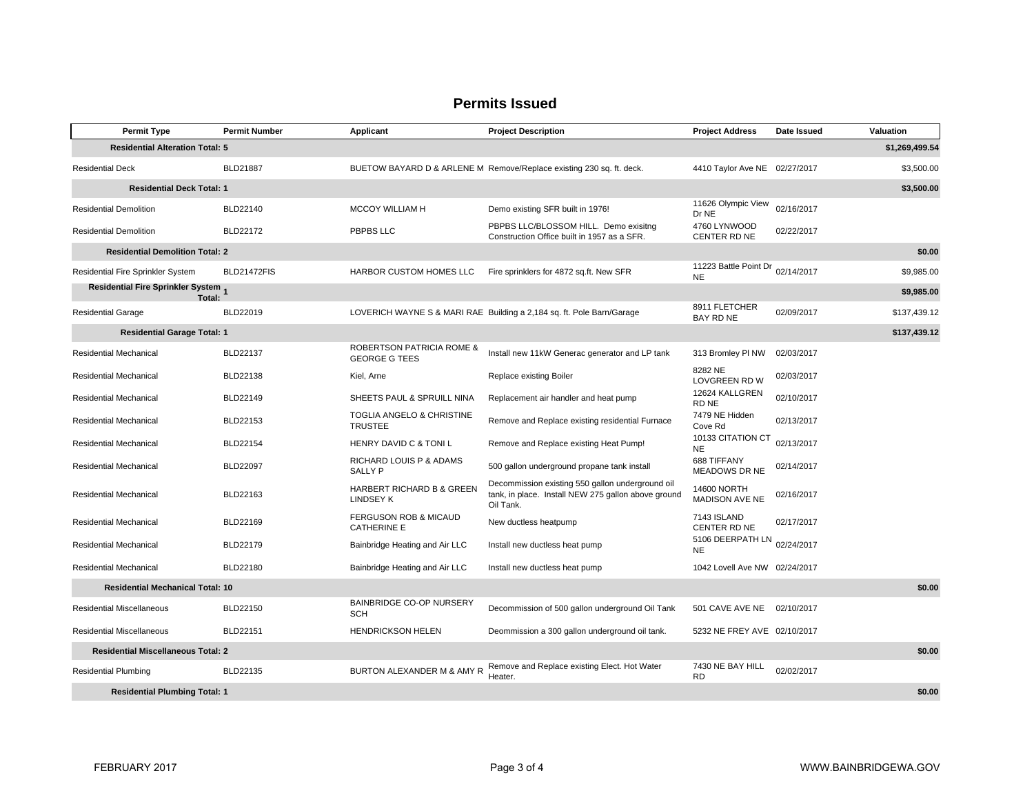#### **Permits Issued**

| <b>Permit Type</b>                            | <b>Permit Number</b> | Applicant                                         | <b>Project Description</b>                                                                                           | <b>Project Address</b>              | Date Issued | Valuation      |
|-----------------------------------------------|----------------------|---------------------------------------------------|----------------------------------------------------------------------------------------------------------------------|-------------------------------------|-------------|----------------|
| <b>Residential Alteration Total: 5</b>        |                      |                                                   |                                                                                                                      |                                     |             | \$1,269,499.54 |
| <b>Residential Deck</b>                       | <b>BLD21887</b>      |                                                   | BUETOW BAYARD D & ARLENE M Remove/Replace existing 230 sq. ft. deck.                                                 | 4410 Taylor Ave NE 02/27/2017       |             | \$3,500.00     |
| <b>Residential Deck Total: 1</b>              |                      |                                                   |                                                                                                                      |                                     |             | \$3,500.00     |
| <b>Residential Demolition</b>                 | BLD22140             | MCCOY WILLIAM H                                   | Demo existing SFR built in 1976!                                                                                     | 11626 Olympic View<br>Dr NE         | 02/16/2017  |                |
| <b>Residential Demolition</b>                 | BLD22172             | PBPBS LLC                                         | PBPBS LLC/BLOSSOM HILL. Demo exisitng<br>Construction Office built in 1957 as a SFR.                                 | 4760 LYNWOOD<br>CENTER RD NE        | 02/22/2017  |                |
| <b>Residential Demolition Total: 2</b>        |                      |                                                   |                                                                                                                      |                                     |             | \$0.00         |
| Residential Fire Sprinkler System             | BLD21472FIS          | HARBOR CUSTOM HOMES LLC                           | Fire sprinklers for 4872 sq.ft. New SFR                                                                              | 11223 Battle Point Dr<br><b>NE</b>  | 02/14/2017  | \$9,985.00     |
| Residential Fire Sprinkler System 1<br>Total: |                      |                                                   |                                                                                                                      |                                     |             | \$9,985.00     |
| <b>Residential Garage</b>                     | BLD22019             |                                                   | LOVERICH WAYNE S & MARI RAE Building a 2,184 sq. ft. Pole Barn/Garage                                                | 8911 FLETCHER<br>BAY RD NE          | 02/09/2017  | \$137,439.12   |
| <b>Residential Garage Total: 1</b>            |                      |                                                   |                                                                                                                      |                                     |             | \$137,439.12   |
| Residential Mechanical                        | BLD22137             | ROBERTSON PATRICIA ROME &<br><b>GEORGE G TEES</b> | Install new 11kW Generac generator and LP tank                                                                       | 313 Bromley PI NW                   | 02/03/2017  |                |
| <b>Residential Mechanical</b>                 | BLD22138             | Kiel, Arne                                        | Replace existing Boiler                                                                                              | 8282 NE<br><b>LOVGREEN RD W</b>     | 02/03/2017  |                |
| Residential Mechanical                        | BLD22149             | SHEETS PAUL & SPRUILL NINA                        | Replacement air handler and heat pump                                                                                | 12624 KALLGREN<br>RD NE             | 02/10/2017  |                |
| Residential Mechanical                        | BLD22153             | TOGLIA ANGELO & CHRISTINE<br><b>TRUSTEE</b>       | Remove and Replace existing residential Furnace                                                                      | 7479 NE Hidden<br>Cove Rd           | 02/13/2017  |                |
| Residential Mechanical                        | BLD22154             | HENRY DAVID C & TONI L                            | Remove and Replace existing Heat Pump!                                                                               | 10133 CITATION CT<br><b>NE</b>      | 02/13/2017  |                |
| <b>Residential Mechanical</b>                 | <b>BLD22097</b>      | RICHARD LOUIS P & ADAMS<br><b>SALLY P</b>         | 500 gallon underground propane tank install                                                                          | 688 TIFFANY<br><b>MEADOWS DR NE</b> | 02/14/2017  |                |
| Residential Mechanical                        | BLD22163             | HARBERT RICHARD B & GREEN<br><b>LINDSEY K</b>     | Decommission existing 550 gallon underground oil<br>tank, in place. Install NEW 275 gallon above ground<br>Oil Tank. | 14600 NORTH<br>MADISON AVE NE       | 02/16/2017  |                |
| Residential Mechanical                        | BLD22169             | FERGUSON ROB & MICAUD<br><b>CATHERINE E</b>       | New ductless heatpump                                                                                                | 7143 ISLAND<br>CENTER RD NE         | 02/17/2017  |                |
| <b>Residential Mechanical</b>                 | BLD22179             | Bainbridge Heating and Air LLC                    | Install new ductless heat pump                                                                                       | 5106 DEERPATH LN<br><b>NE</b>       | 02/24/2017  |                |
| <b>Residential Mechanical</b>                 | BLD22180             | Bainbridge Heating and Air LLC                    | Install new ductless heat pump                                                                                       | 1042 Lovell Ave NW 02/24/2017       |             |                |
| <b>Residential Mechanical Total: 10</b>       |                      |                                                   |                                                                                                                      |                                     |             | \$0.00         |
| <b>Residential Miscellaneous</b>              | BLD22150             | BAINBRIDGE CO-OP NURSERY<br><b>SCH</b>            | Decommission of 500 gallon underground Oil Tank                                                                      | 501 CAVE AVE NE 02/10/2017          |             |                |
| <b>Residential Miscellaneous</b>              | BLD22151             | <b>HENDRICKSON HELEN</b>                          | Deommission a 300 gallon underground oil tank.                                                                       | 5232 NE FREY AVE 02/10/2017         |             |                |
| <b>Residential Miscellaneous Total: 2</b>     |                      |                                                   |                                                                                                                      |                                     |             | \$0.00         |
| <b>Residential Plumbing</b>                   | BLD22135             | BURTON ALEXANDER M & AMY R                        | Remove and Replace existing Elect. Hot Water<br>Heater.                                                              | 7430 NE BAY HILL<br><b>RD</b>       | 02/02/2017  |                |
| <b>Residential Plumbing Total: 1</b>          |                      |                                                   |                                                                                                                      |                                     |             | \$0.00         |